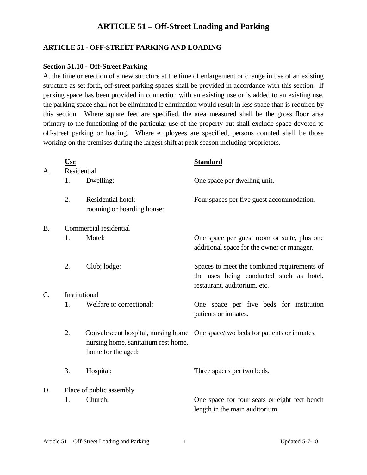#### **ARTICLE 51 - OFF-STREET PARKING AND LOADING**

#### **Section 51.10 - Off-Street Parking**

At the time or erection of a new structure at the time of enlargement or change in use of an existing structure as set forth, off-street parking spaces shall be provided in accordance with this section. If parking space has been provided in connection with an existing use or is added to an existing use, the parking space shall not be eliminated if elimination would result in less space than is required by this section. Where square feet are specified, the area measured shall be the gross floor area primary to the functioning of the particular use of the property but shall exclude space devoted to off-street parking or loading. Where employees are specified, persons counted shall be those working on the premises during the largest shift at peak season including proprietors.

| A.               | <b>Use</b><br>Residential |                                                           | <b>Standard</b>                                                                                                        |  |  |
|------------------|---------------------------|-----------------------------------------------------------|------------------------------------------------------------------------------------------------------------------------|--|--|
|                  | 1.                        | Dwelling:                                                 | One space per dwelling unit.                                                                                           |  |  |
|                  | 2.                        | Residential hotel;<br>rooming or boarding house:          | Four spaces per five guest accommodation.                                                                              |  |  |
| <b>B.</b>        | Commercial residential    |                                                           |                                                                                                                        |  |  |
|                  | 1.                        | Motel:                                                    | One space per guest room or suite, plus one<br>additional space for the owner or manager.                              |  |  |
|                  | 2.                        | Club; lodge:                                              | Spaces to meet the combined requirements of<br>the uses being conducted such as hotel,<br>restaurant, auditorium, etc. |  |  |
| $\overline{C}$ . | Institutional             |                                                           |                                                                                                                        |  |  |
|                  | 1.                        | Welfare or correctional:                                  | One space per five beds for institution<br>patients or inmates.                                                        |  |  |
|                  | 2.                        | nursing home, sanitarium rest home,<br>home for the aged: | Convalescent hospital, nursing home One space/two beds for patients or inmates.                                        |  |  |
|                  | 3.                        | Hospital:                                                 | Three spaces per two beds.                                                                                             |  |  |
| D.               | Place of public assembly  |                                                           |                                                                                                                        |  |  |
|                  | 1.                        | Church:                                                   | One space for four seats or eight feet bench<br>length in the main auditorium.                                         |  |  |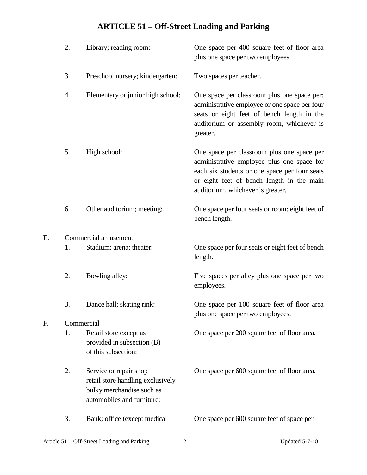|    | 2. | Library; reading room:                                                                                                 | One space per 400 square feet of floor area<br>plus one space per two employees.                                                                                                                                            |  |  |  |
|----|----|------------------------------------------------------------------------------------------------------------------------|-----------------------------------------------------------------------------------------------------------------------------------------------------------------------------------------------------------------------------|--|--|--|
|    | 3. | Preschool nursery; kindergarten:                                                                                       | Two spaces per teacher.                                                                                                                                                                                                     |  |  |  |
|    | 4. | Elementary or junior high school:                                                                                      | One space per classroom plus one space per:<br>administrative employee or one space per four<br>seats or eight feet of bench length in the<br>auditorium or assembly room, whichever is<br>greater.                         |  |  |  |
|    | 5. | High school:                                                                                                           | One space per classroom plus one space per<br>administrative employee plus one space for<br>each six students or one space per four seats<br>or eight feet of bench length in the main<br>auditorium, whichever is greater. |  |  |  |
|    | 6. | Other auditorium; meeting:                                                                                             | One space per four seats or room: eight feet of<br>bench length.                                                                                                                                                            |  |  |  |
| Е. |    | Commercial amusement                                                                                                   |                                                                                                                                                                                                                             |  |  |  |
|    | 1. | Stadium; arena; theater:                                                                                               | One space per four seats or eight feet of bench<br>length.                                                                                                                                                                  |  |  |  |
|    | 2. | Bowling alley:                                                                                                         | Five spaces per alley plus one space per two<br>employees.                                                                                                                                                                  |  |  |  |
|    | 3. | Dance hall; skating rink:                                                                                              | One space per 100 square feet of floor area<br>plus one space per two employees.                                                                                                                                            |  |  |  |
| F. |    | Commercial                                                                                                             |                                                                                                                                                                                                                             |  |  |  |
|    | 1. | Retail store except as<br>provided in subsection (B)<br>of this subsection:                                            | One space per 200 square feet of floor area.                                                                                                                                                                                |  |  |  |
|    | 2. | Service or repair shop<br>retail store handling exclusively<br>bulky merchandise such as<br>automobiles and furniture: | One space per 600 square feet of floor area.                                                                                                                                                                                |  |  |  |
|    | 3. | Bank; office (except medical                                                                                           | One space per 600 square feet of space per                                                                                                                                                                                  |  |  |  |

 $\overline{F}$ .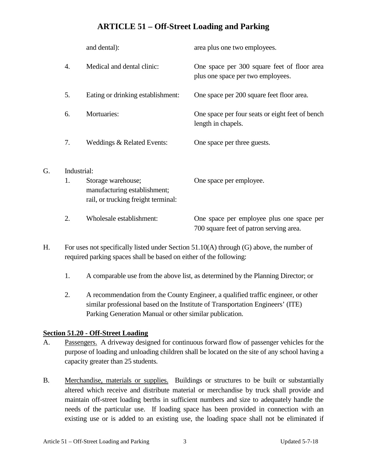|                | and dental):                                                                              | area plus one two employees.                                                         |  |  |  |
|----------------|-------------------------------------------------------------------------------------------|--------------------------------------------------------------------------------------|--|--|--|
| 4.             | Medical and dental clinic:                                                                | One space per 300 square feet of floor area<br>plus one space per two employees.     |  |  |  |
| 5.             | Eating or drinking establishment:                                                         | One space per 200 square feet floor area.                                            |  |  |  |
| 6.             | Mortuaries:                                                                               | One space per four seats or eight feet of bench<br>length in chapels.                |  |  |  |
| 7.             | Weddings & Related Events:                                                                | One space per three guests.                                                          |  |  |  |
| Industrial:    |                                                                                           |                                                                                      |  |  |  |
| $\mathbf{1}$ . | Storage warehouse;<br>manufacturing establishment;<br>rail, or trucking freight terminal: | One space per employee.                                                              |  |  |  |
| 2.             | Wholesale establishment:                                                                  | One space per employee plus one space per<br>700 square feet of patron serving area. |  |  |  |

- H. For uses not specifically listed under Section 51.10(A) through (G) above, the number of required parking spaces shall be based on either of the following:
	- 1. A comparable use from the above list, as determined by the Planning Director; or
	- 2. A recommendation from the County Engineer, a qualified traffic engineer, or other similar professional based on the Institute of Transportation Engineers' (ITE) Parking Generation Manual or other similar publication.

#### **Section 51.20 - Off-Street Loading**

G.

- A. Passengers. A driveway designed for continuous forward flow of passenger vehicles for the purpose of loading and unloading children shall be located on the site of any school having a capacity greater than 25 students.
- B. Merchandise, materials or supplies. Buildings or structures to be built or substantially altered which receive and distribute material or merchandise by truck shall provide and maintain off-street loading berths in sufficient numbers and size to adequately handle the needs of the particular use. If loading space has been provided in connection with an existing use or is added to an existing use, the loading space shall not be eliminated if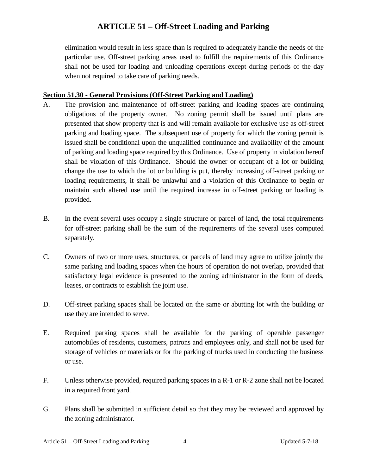elimination would result in less space than is required to adequately handle the needs of the particular use. Off-street parking areas used to fulfill the requirements of this Ordinance shall not be used for loading and unloading operations except during periods of the day when not required to take care of parking needs.

#### **Section 51.30 - General Provisions (Off-Street Parking and Loading)**

- A. The provision and maintenance of off-street parking and loading spaces are continuing obligations of the property owner. No zoning permit shall be issued until plans are presented that show property that is and will remain available for exclusive use as off-street parking and loading space. The subsequent use of property for which the zoning permit is issued shall be conditional upon the unqualified continuance and availability of the amount of parking and loading space required by this Ordinance. Use of property in violation hereof shall be violation of this Ordinance. Should the owner or occupant of a lot or building change the use to which the lot or building is put, thereby increasing off-street parking or loading requirements, it shall be unlawful and a violation of this Ordinance to begin or maintain such altered use until the required increase in off-street parking or loading is provided.
- B. In the event several uses occupy a single structure or parcel of land, the total requirements for off-street parking shall be the sum of the requirements of the several uses computed separately.
- C. Owners of two or more uses, structures, or parcels of land may agree to utilize jointly the same parking and loading spaces when the hours of operation do not overlap, provided that satisfactory legal evidence is presented to the zoning administrator in the form of deeds, leases, or contracts to establish the joint use.
- D. Off-street parking spaces shall be located on the same or abutting lot with the building or use they are intended to serve.
- E. Required parking spaces shall be available for the parking of operable passenger automobiles of residents, customers, patrons and employees only, and shall not be used for storage of vehicles or materials or for the parking of trucks used in conducting the business or use.
- F. Unless otherwise provided, required parking spaces in a R-1 or R-2 zone shall not be located in a required front yard.
- G. Plans shall be submitted in sufficient detail so that they may be reviewed and approved by the zoning administrator.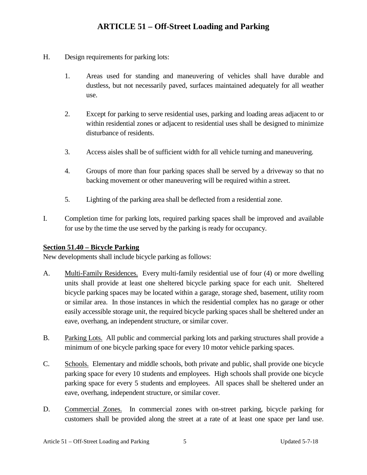- H. Design requirements for parking lots:
	- 1. Areas used for standing and maneuvering of vehicles shall have durable and dustless, but not necessarily paved, surfaces maintained adequately for all weather use.
	- 2. Except for parking to serve residential uses, parking and loading areas adjacent to or within residential zones or adjacent to residential uses shall be designed to minimize disturbance of residents.
	- 3. Access aisles shall be of sufficient width for all vehicle turning and maneuvering.
	- 4. Groups of more than four parking spaces shall be served by a driveway so that no backing movement or other maneuvering will be required within a street.
	- 5. Lighting of the parking area shall be deflected from a residential zone.
- I. Completion time for parking lots, required parking spaces shall be improved and available for use by the time the use served by the parking is ready for occupancy.

#### **Section 51.40 – Bicycle Parking**

New developments shall include bicycle parking as follows:

- A. Multi-Family Residences. Every multi-family residential use of four (4) or more dwelling units shall provide at least one sheltered bicycle parking space for each unit. Sheltered bicycle parking spaces may be located within a garage, storage shed, basement, utility room or similar area. In those instances in which the residential complex has no garage or other easily accessible storage unit, the required bicycle parking spaces shall be sheltered under an eave, overhang, an independent structure, or similar cover.
- B. Parking Lots. All public and commercial parking lots and parking structures shall provide a minimum of one bicycle parking space for every 10 motor vehicle parking spaces.
- C. Schools. Elementary and middle schools, both private and public, shall provide one bicycle parking space for every 10 students and employees. High schools shall provide one bicycle parking space for every 5 students and employees. All spaces shall be sheltered under an eave, overhang, independent structure, or similar cover.
- D. Commercial Zones. In commercial zones with on-street parking, bicycle parking for customers shall be provided along the street at a rate of at least one space per land use.